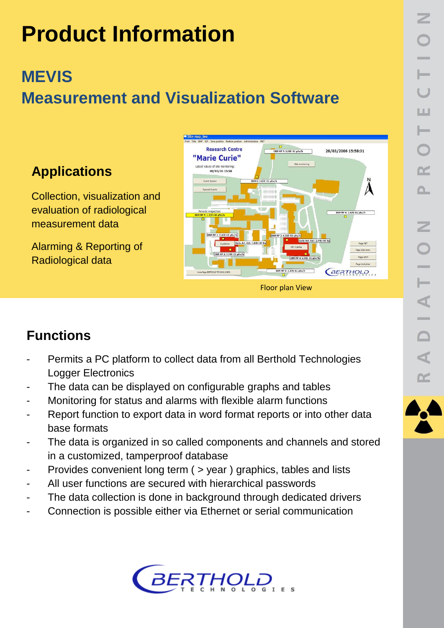# **Product Information**

# **MEVIS Measurement and Visualization Software**

## **Applications**

Collection, visualization and evaluation of radiological measurement data

Alarming & Reporting of Radiological data



## **Functions**

- Permits a PC platform to collect data from all Berthold Technologies Logger Electronics
- The data can be displayed on configurable graphs and tables
- Monitoring for status and alarms with flexible alarm functions
- Report function to export data in word format reports or into other data base formats
- The data is organized in so called components and channels and stored in a customized, tamperproof database
- Provides convenient long term ( > year ) graphics, tables and lists
- All user functions are secured with hierarchical passwords
- The data collection is done in background through dedicated drivers
- Connection is possible either via Ethernet or serial communication



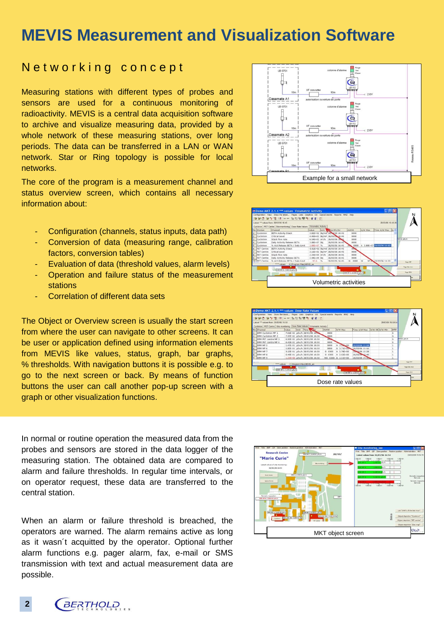# **MEVIS Measurement and Visualization Software**

#### Networking concept

Measuring stations with different types of probes and sensors are used for a continuous monitoring of radioactivity. MEVIS is a central data acquisition software to archive and visualize measuring data, provided by a whole network of these measuring stations, over long periods. The data can be transferred in a LAN or WAN network. Star or Ring topology is possible for local networks.

The core of the program is a measurement channel and status overview screen, which contains all necessary information about:

- Configuration (channels, status inputs, data path)
- Conversion of data (measuring range, calibration factors, conversion tables)
- Evaluation of data (threshold values, alarm levels)
- Operation and failure status of the measurement stations
- Correlation of different data sets

 go to the next screen or back. By means of function The Object or Overview screen is usually the start screen from where the user can navigate to other screens. It can be user or application defined using information elements from MEVIS like values, status, graph, bar graphs, % thresholds. With navigation buttons it is possible e.g. to buttons the user can call another pop-up screen with a graph or other visualization functions.

In normal or routine operation the measured data from the probes and sensors are stored in the data logger of the measuring station. The obtained data are compared to alarm and failure thresholds. In regular time intervals, or on operator request, these data are transferred to the central station.

When an alarm or failure threshold is breached, the operators are warned. The alarm remains active as long as it wasn´t acquitted by the operator. Optional further alarm functions e.g. pager alarm, fax, e-mail or SMS transmission with text and actual measurement data are possible.









**BERTHOLD 2**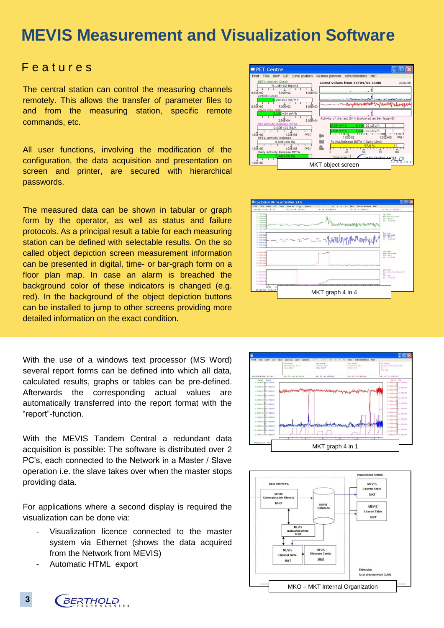# **MEVIS Measurement and Visualization Software**

#### F e a t u r e s

The central station can control the measuring channels remotely. This allows the transfer of parameter files to and from the measuring station, specific remote commands, etc.

All user functions, involving the modification of the configuration, the data acquisition and presentation on screen and printer, are secured with hierarchical passwords.

The measured data can be shown in tabular or graph form by the operator, as well as status and failure protocols. As a principal result a table for each measuring station can be defined with selectable results. On the so called object depiction screen measurement information can be presented in digital, time- or bar-graph form on a floor plan map. In case an alarm is breached the background color of these indicators is changed (e.g. red). In the background of the object depiction buttons can be installed to jump to other screens providing more detailed information on the exact condition.

With the use of a windows text processor (MS Word) several report forms can be defined into which all data, calculated results, graphs or tables can be pre-defined. Afterwards the corresponding actual values are automatically transferred into the report format with the "report"-function.

With the MEVIS Tandem Central a redundant data acquisition is possible: The software is distributed over 2 PC's, each connected to the Network in a Master / Slave operation i.e. the slave takes over when the master stops providing data.

For applications where a second display is required the visualization can be done via:

- Visualization licence connected to the master system via Ethernet (shows the data acquired from the Network from MEVIS)
- Automatic HTML export